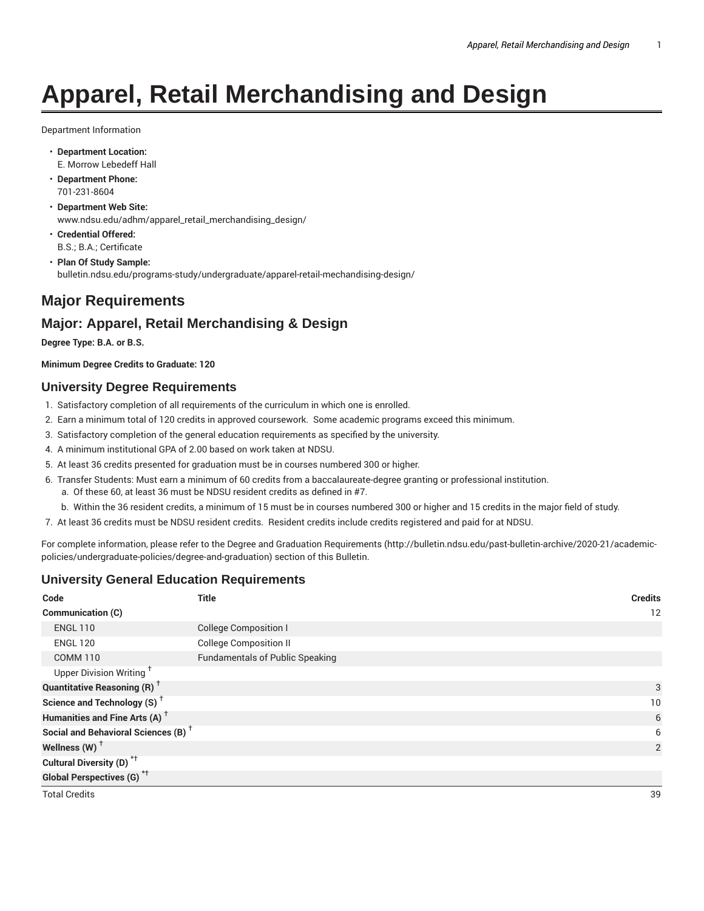# **Apparel, Retail Merchandising and Design**

Department Information

- **Department Location:** E. Morrow Lebedeff Hall
- **Department Phone:** 701-231-8604
- **Department Web Site:** www.ndsu.edu/adhm/apparel\_retail\_merchandising\_design/
- **Credential Offered:** B.S.; B.A.; Certificate
- **Plan Of Study Sample:** bulletin.ndsu.edu/programs-study/undergraduate/apparel-retail-mechandising-design/

# **Major Requirements**

# **Major: Apparel, Retail Merchandising & Design**

**Degree Type: B.A. or B.S.**

**Minimum Degree Credits to Graduate: 120**

#### **University Degree Requirements**

- 1. Satisfactory completion of all requirements of the curriculum in which one is enrolled.
- 2. Earn a minimum total of 120 credits in approved coursework. Some academic programs exceed this minimum.
- 3. Satisfactory completion of the general education requirements as specified by the university.
- 4. A minimum institutional GPA of 2.00 based on work taken at NDSU.
- 5. At least 36 credits presented for graduation must be in courses numbered 300 or higher.
- 6. Transfer Students: Must earn a minimum of 60 credits from a baccalaureate-degree granting or professional institution.
	- a. Of these 60, at least 36 must be NDSU resident credits as defined in #7.
	- b. Within the 36 resident credits, a minimum of 15 must be in courses numbered 300 or higher and 15 credits in the major field of study.
- 7. At least 36 credits must be NDSU resident credits. Resident credits include credits registered and paid for at NDSU.

For complete information, please refer to the Degree and Graduation Requirements (http://bulletin.ndsu.edu/past-bulletin-archive/2020-21/academicpolicies/undergraduate-policies/degree-and-graduation) section of this Bulletin.

#### **University General Education Requirements**

| Code                                            | Title                                  | <b>Credits</b> |
|-------------------------------------------------|----------------------------------------|----------------|
| <b>Communication (C)</b>                        |                                        | 12             |
| <b>ENGL 110</b>                                 | <b>College Composition I</b>           |                |
| <b>ENGL 120</b>                                 | <b>College Composition II</b>          |                |
| <b>COMM 110</b>                                 | <b>Fundamentals of Public Speaking</b> |                |
| Upper Division Writing <sup>+</sup>             |                                        |                |
| <b>Quantitative Reasoning (R)</b> <sup>†</sup>  |                                        | 3              |
| Science and Technology (S) <sup>+</sup>         |                                        | 10             |
| Humanities and Fine Arts (A) <sup>+</sup>       |                                        | 6              |
| Social and Behavioral Sciences (B) <sup>+</sup> |                                        | 6              |
| Wellness (W) $†$                                |                                        | $\overline{2}$ |
| Cultural Diversity (D) <sup>*†</sup>            |                                        |                |
| <b>Global Perspectives (G)</b> <sup>*†</sup>    |                                        |                |
| <b>Total Credits</b>                            |                                        | 39             |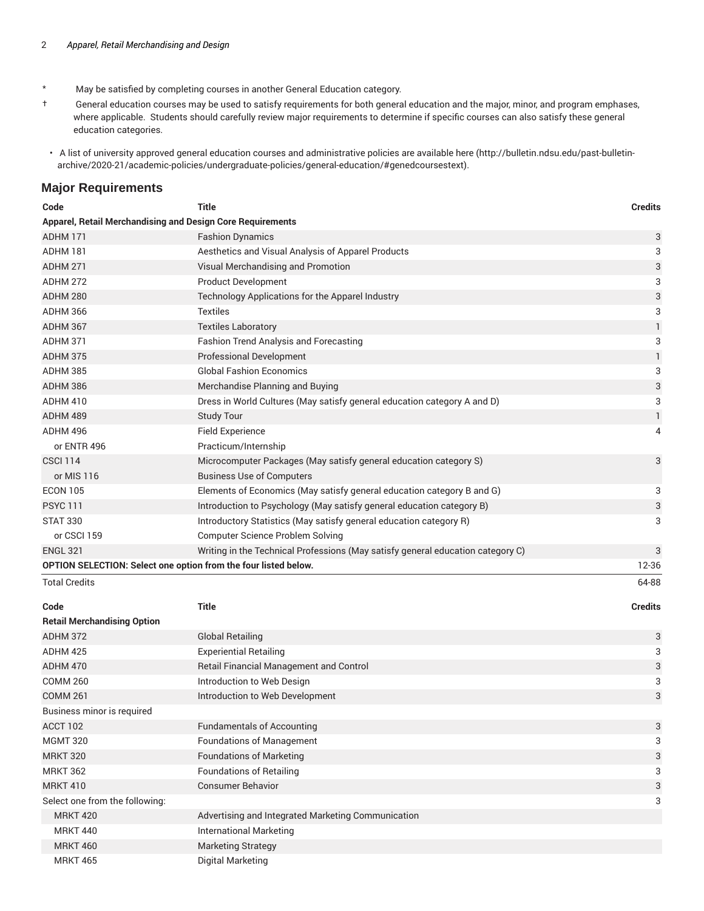- \* May be satisfied by completing courses in another General Education category.
- † General education courses may be used to satisfy requirements for both general education and the major, minor, and program emphases, where applicable. Students should carefully review major requirements to determine if specific courses can also satisfy these general education categories.
- A list of university approved general education courses and administrative policies are available here (http://bulletin.ndsu.edu/past-bulletinarchive/2020-21/academic-policies/undergraduate-policies/general-education/#genedcoursestext).

#### **Major Requirements**

| Code<br><b>Title</b> |                                                                                 | <b>Credits</b> |
|----------------------|---------------------------------------------------------------------------------|----------------|
|                      | Apparel, Retail Merchandising and Design Core Requirements                      |                |
| ADHM 171             | <b>Fashion Dynamics</b>                                                         | 3              |
| ADHM 181             | Aesthetics and Visual Analysis of Apparel Products                              | 3              |
| <b>ADHM 271</b>      | Visual Merchandising and Promotion                                              | 3              |
| <b>ADHM 272</b>      | <b>Product Development</b>                                                      | 3              |
| ADHM 280             | Technology Applications for the Apparel Industry                                | 3              |
| <b>ADHM 366</b>      | <b>Textiles</b>                                                                 | 3              |
| ADHM 367             | <b>Textiles Laboratory</b>                                                      | $\mathbf{1}$   |
| <b>ADHM 371</b>      | <b>Fashion Trend Analysis and Forecasting</b>                                   | 3              |
| <b>ADHM 375</b>      | <b>Professional Development</b>                                                 | 1              |
| <b>ADHM 385</b>      | <b>Global Fashion Economics</b>                                                 | 3              |
| ADHM 386             | Merchandise Planning and Buying                                                 | 3              |
| <b>ADHM 410</b>      | Dress in World Cultures (May satisfy general education category A and D)        | 3              |
| ADHM 489             | <b>Study Tour</b>                                                               | $\mathbf{1}$   |
| ADHM 496             | <b>Field Experience</b>                                                         | 4              |
| or ENTR 496          | Practicum/Internship                                                            |                |
| <b>CSCI 114</b>      | Microcomputer Packages (May satisfy general education category S)               | 3              |
| or MIS 116           | <b>Business Use of Computers</b>                                                |                |
| <b>ECON 105</b>      | Elements of Economics (May satisfy general education category B and G)          | 3              |
| <b>PSYC 111</b>      | Introduction to Psychology (May satisfy general education category B)           | 3              |
| <b>STAT 330</b>      | Introductory Statistics (May satisfy general education category R)              | 3              |
| or CSCI 159          | <b>Computer Science Problem Solving</b>                                         |                |
| <b>ENGL 321</b>      | Writing in the Technical Professions (May satisfy general education category C) | 3              |
|                      | OPTION SELECTION: Select one option from the four listed below.                 | 12-36          |
| <b>Total Credits</b> |                                                                                 | 64-88          |

| <b>Retail Merchandising Option</b> |                                                    |   |
|------------------------------------|----------------------------------------------------|---|
| <b>ADHM 372</b>                    | <b>Global Retailing</b>                            | 3 |
| ADHM 425                           | <b>Experiential Retailing</b>                      | 3 |
| ADHM 470                           | <b>Retail Financial Management and Control</b>     | 3 |
| <b>COMM 260</b>                    | Introduction to Web Design                         | 3 |
| <b>COMM 261</b>                    | Introduction to Web Development                    | 3 |
| Business minor is required         |                                                    |   |
| <b>ACCT 102</b>                    | <b>Fundamentals of Accounting</b>                  | 3 |
| <b>MGMT 320</b>                    | <b>Foundations of Management</b>                   | 3 |
| <b>MRKT 320</b>                    | <b>Foundations of Marketing</b>                    | 3 |
| <b>MRKT 362</b>                    | <b>Foundations of Retailing</b>                    | 3 |
| <b>MRKT 410</b>                    | <b>Consumer Behavior</b>                           | 3 |
| Select one from the following:     |                                                    | 3 |
| <b>MRKT 420</b>                    | Advertising and Integrated Marketing Communication |   |
| <b>MRKT 440</b>                    | <b>International Marketing</b>                     |   |
| <b>MRKT 460</b>                    | <b>Marketing Strategy</b>                          |   |
| <b>MRKT 465</b>                    | Digital Marketing                                  |   |

**Code Title Credits**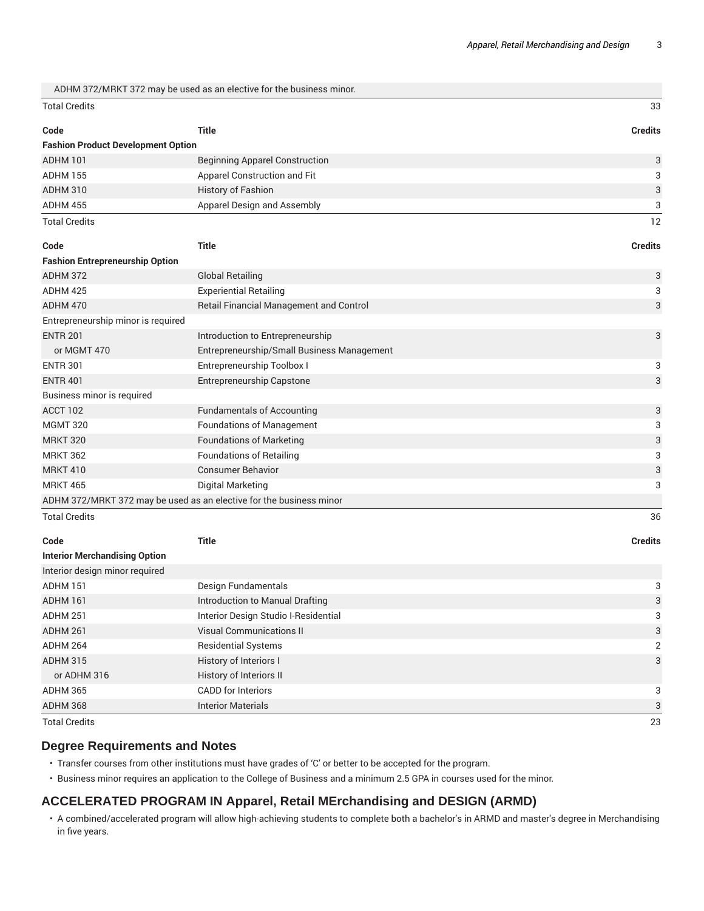|                                           | ADHM 372/MRKT 372 may be used as an elective for the business minor. |                |
|-------------------------------------------|----------------------------------------------------------------------|----------------|
| <b>Total Credits</b>                      |                                                                      | 33             |
| Code                                      | <b>Title</b>                                                         | <b>Credits</b> |
| <b>Fashion Product Development Option</b> |                                                                      |                |
| <b>ADHM 101</b>                           | <b>Beginning Apparel Construction</b>                                | 3              |
| <b>ADHM 155</b>                           | Apparel Construction and Fit                                         | 3              |
| <b>ADHM 310</b>                           | <b>History of Fashion</b>                                            | 3              |
| ADHM 455                                  | Apparel Design and Assembly                                          | 3              |
| <b>Total Credits</b>                      |                                                                      | 12             |
| Code                                      | <b>Title</b>                                                         | <b>Credits</b> |
| <b>Fashion Entrepreneurship Option</b>    |                                                                      |                |
| ADHM 372                                  |                                                                      |                |
|                                           | <b>Global Retailing</b>                                              | 3              |
| ADHM 425                                  | <b>Experiential Retailing</b>                                        | 3              |
| ADHM 470                                  | Retail Financial Management and Control                              | 3              |
| Entrepreneurship minor is required        |                                                                      |                |
| <b>ENTR 201</b>                           | Introduction to Entrepreneurship                                     | 3              |
| or MGMT 470                               | Entrepreneurship/Small Business Management                           |                |

ENTR 401 Entrepreneurship Capstone 3

ACCT 102 **ACCT 102 Fundamentals of Accounting 3 ACCT 102 3 3 3** MGMT 320 **Foundations of Management** 3 MRKT 320 **Foundations of Marketing 3 Foundations** of Marketing 3 MRKT 362 **Foundations of Retailing 3 Foundations 3** 3 MRKT 410 Consumer Behavior **3** Consumer Behavior 3 MRKT 465 Digital Marketing 3

Total Credits 36

Business minor is required

| Code                                 | <b>Title</b>                         | <b>Credits</b> |
|--------------------------------------|--------------------------------------|----------------|
| <b>Interior Merchandising Option</b> |                                      |                |
| Interior design minor required       |                                      |                |
| ADHM 151                             | Design Fundamentals                  | 3              |
| ADHM 161                             | Introduction to Manual Drafting      | 3              |
| ADHM 251                             | Interior Design Studio I-Residential | 3              |
| ADHM 261                             | <b>Visual Communications II</b>      | 3              |
| ADHM 264                             | <b>Residential Systems</b>           | 2              |
| ADHM 315                             | History of Interiors I               | 3              |
| or ADHM 316                          | History of Interiors II              |                |
| ADHM 365                             | <b>CADD</b> for Interiors            | 3              |
| ADHM 368                             | <b>Interior Materials</b>            | 3              |
| <b>Total Credits</b>                 |                                      | 23             |

#### **Degree Requirements and Notes**

ADHM 372/MRKT 372 may be used as an elective for the business minor

• Transfer courses from other institutions must have grades of 'C' or better to be accepted for the program.

• Business minor requires an application to the College of Business and a minimum 2.5 GPA in courses used for the minor.

#### **ACCELERATED PROGRAM IN Apparel, Retail MErchandising and DESIGN (ARMD)**

• A combined/accelerated program will allow high-achieving students to complete both a bachelor's in ARMD and master's degree in Merchandising in five years.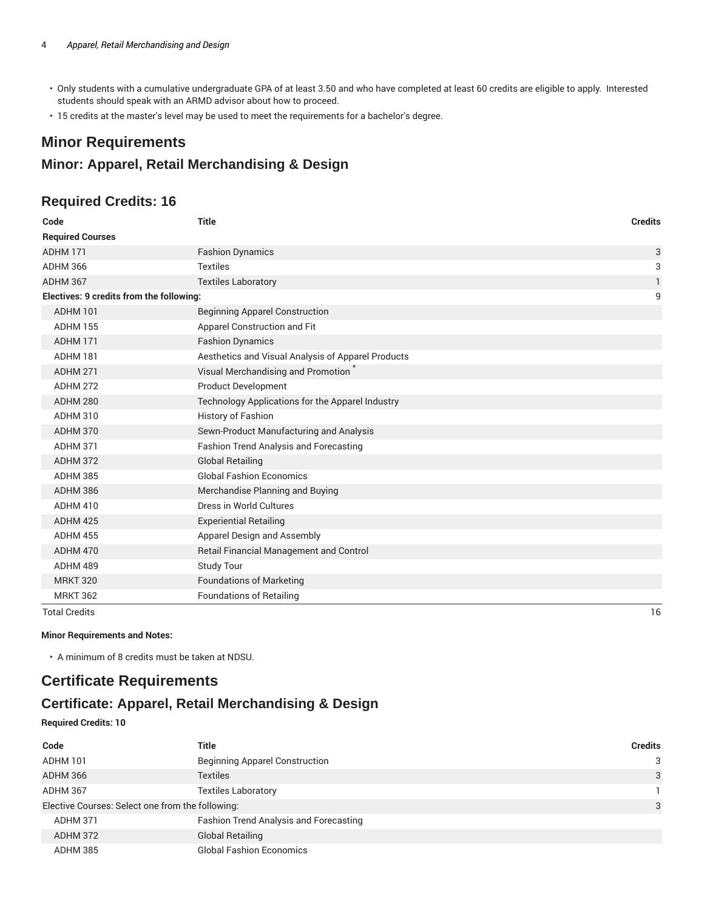- Only students with a cumulative undergraduate GPA of at least 3.50 and who have completed at least 60 credits are eligible to apply. Interested students should speak with an ARMD advisor about how to proceed.
- 15 credits at the master's level may be used to meet the requirements for a bachelor's degree.

# **Minor Requirements**

## **Minor: Apparel, Retail Merchandising & Design**

### **Required Credits: 16**

| Code                                     | <b>Title</b>                                       | <b>Credits</b> |
|------------------------------------------|----------------------------------------------------|----------------|
| <b>Required Courses</b>                  |                                                    |                |
| ADHM 171                                 | <b>Fashion Dynamics</b>                            | 3              |
| <b>ADHM 366</b>                          | <b>Textiles</b>                                    | 3              |
| ADHM 367                                 | <b>Textiles Laboratory</b>                         | 1              |
| Electives: 9 credits from the following: |                                                    | 9              |
| <b>ADHM 101</b>                          | <b>Beginning Apparel Construction</b>              |                |
| <b>ADHM 155</b>                          | Apparel Construction and Fit                       |                |
| ADHM 171                                 | <b>Fashion Dynamics</b>                            |                |
| ADHM 181                                 | Aesthetics and Visual Analysis of Apparel Products |                |
| <b>ADHM 271</b>                          | Visual Merchandising and Promotion                 |                |
| <b>ADHM 272</b>                          | <b>Product Development</b>                         |                |
| ADHM 280                                 | Technology Applications for the Apparel Industry   |                |
| <b>ADHM 310</b>                          | <b>History of Fashion</b>                          |                |
| <b>ADHM 370</b>                          | Sewn-Product Manufacturing and Analysis            |                |
| ADHM 371                                 | <b>Fashion Trend Analysis and Forecasting</b>      |                |
| ADHM 372                                 | <b>Global Retailing</b>                            |                |
| <b>ADHM 385</b>                          | <b>Global Fashion Economics</b>                    |                |
| ADHM 386                                 | Merchandise Planning and Buying                    |                |
| <b>ADHM 410</b>                          | Dress in World Cultures                            |                |
| ADHM 425                                 | <b>Experiential Retailing</b>                      |                |
| <b>ADHM 455</b>                          | Apparel Design and Assembly                        |                |
| <b>ADHM 470</b>                          | Retail Financial Management and Control            |                |
| ADHM 489                                 | <b>Study Tour</b>                                  |                |
| <b>MRKT 320</b>                          | <b>Foundations of Marketing</b>                    |                |
| <b>MRKT 362</b>                          | <b>Foundations of Retailing</b>                    |                |
| <b>Total Credits</b>                     |                                                    | 16             |

**Minor Requirements and Notes:** 

• A minimum of 8 credits must be taken at NDSU.

# **Certificate Requirements**

# **Certificate: Apparel, Retail Merchandising & Design**

#### **Required Credits: 10**

| Code                                             | Title                                  | Credits |
|--------------------------------------------------|----------------------------------------|---------|
| ADHM 101                                         | <b>Beginning Apparel Construction</b>  | 3       |
| ADHM 366                                         | Textiles                               | 3       |
| ADHM 367                                         | <b>Textiles Laboratory</b>             |         |
| Elective Courses: Select one from the following: |                                        | 3       |
| ADHM 371                                         | Fashion Trend Analysis and Forecasting |         |
| ADHM 372                                         | <b>Global Retailing</b>                |         |
| ADHM 385                                         | <b>Global Fashion Economics</b>        |         |